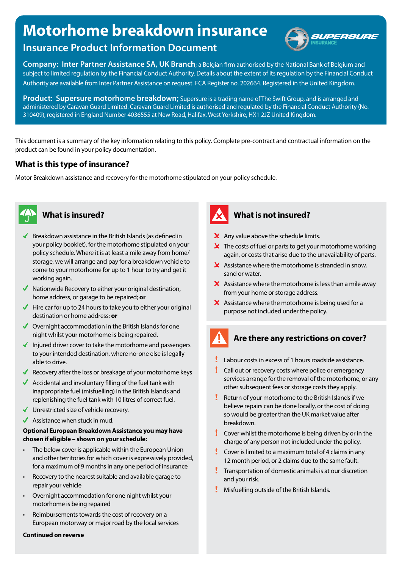# **Motorhome breakdown insurance**



# **Insurance Product Information Document**

**Company: Inter Partner Assistance SA, UK Branch**; a Belgian firm authorised by the National Bank of Belgium and subject to limited regulation by the Financial Conduct Authority. Details about the extent of its regulation by the Financial Conduct Authority are available from Inter Partner Assistance on request. FCA Register no. 202664. Registered in the United Kingdom.

**Product: Supersure motorhome breakdown;** Supersure is a trading name of The Swift Group, and is arranged and administered by Caravan Guard Limited. Caravan Guard Limited is authorised and regulated by the Financial Conduct Authority (No. 310409), registered in England Number 4036555 at New Road, Halifax, West Yorkshire, HX1 2JZ United Kingdom.

This document is a summary of the key information relating to this policy. Complete pre-contract and contractual information on the product can be found in your policy documentation.

# **What is this type of insurance?**

Motor Breakdown assistance and recovery for the motorhome stipulated on your policy schedule.



- **S** Breakdown assistance in the British Islands (as defined in your policy booklet), for the motorhome stipulated on your policy schedule. Where it is at least a mile away from home/ storage, we will arrange and pay for a breakdown vehicle to come to your motorhome for up to 1 hour to try and get it working again.
- $\blacklozenge$  Nationwide Recovery to either your original destination, home address, or garage to be repaired; **or**
- $\blacktriangleright$  Hire car for up to 24 hours to take you to either your original destination or home address; **or**
- $\sqrt{\phantom{a}}$  Overnight accommodation in the British Islands for one night whilst your motorhome is being repaired.
- Injured driver cover to take the motorhome and passengers to your intended destination, where no-one else is legally able to drive.
- Recovery after the loss or breakage of your motorhome keys
- Accidental and involuntary filling of the fuel tank with inappropriate fuel (misfuelling) in the British Islands and replenishing the fuel tank with 10 litres of correct fuel.
- ◆ Unrestricted size of vehicle recovery.
- $\blacklozenge$  Assistance when stuck in mud.

### **Optional European Breakdown Assistance you may have chosen if eligible – shown on your schedule:**

- The below cover is applicable within the European Union and other territories for which cover is expressively provided, for a maximum of 9 months in any one period of insurance
- Recovery to the nearest suitable and available garage to repair your vehicle
- Overnight accommodation for one night whilst your motorhome is being repaired
- Reimbursements towards the cost of recovery on a European motorway or major road by the local services

#### **Continued on reverse**



# **What is insured? What is not insured?**

- $\times$  Any value above the schedule limits.
- $\boldsymbol{\times}$  The costs of fuel or parts to get your motorhome working again, or costs that arise due to the unavailability of parts.
- $\boldsymbol{\times}$  Assistance where the motorhome is stranded in snow, sand or water.
- $\boldsymbol{\times}$  Assistance where the motorhome is less than a mile away from your home or storage address.
- $\boldsymbol{\times}$  Assistance where the motorhome is being used for a purpose not included under the policy.

# **Are there any restrictions on cover?**

- Labour costs in excess of 1 hours roadside assistance.
- Call out or recovery costs where police or emergency services arrange for the removal of the motorhome, or any other subsequent fees or storage costs they apply.
- Return of your motorhome to the British Islands if we believe repairs can be done locally, or the cost of doing so would be greater than the UK market value after breakdown.
- Cover whilst the motorhome is being driven by or in the charge of any person not included under the policy.
- $\blacksquare$  Cover is limited to a maximum total of 4 claims in any 12 month period, or 2 claims due to the same fault.
- **Transportation of domestic animals is at our discretion** and your risk.
- **Misfuelling outside of the British Islands.**